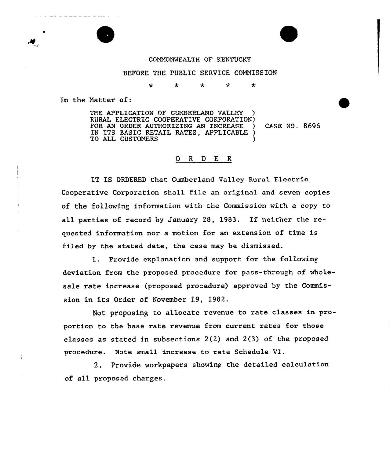## COMNONMEALTH OF KENTUCKY

## BEFORE THE PUBLIC SERVICE COMMISSION

 $\star$ ÷  $\star$  $\star$ 

In the Natter of:

THE APPLICATION OF CUMBERLAND VALLEY RURAL ELECTRIC COOPERATIVE CORPORATION) FOR AN ORDER AUTHORIZING AN INCREASE IN ITS BASIC RETAIL RATES, APPLICABLE ) TO ALL CUSTOMERS CASE NO. 8696

## 0 R <sup>D</sup> E R

IT IS ORDERED that Cumberland Valley Ruxal Electric Cooperative Corporation shall file an original and seven copies of the following information with the Commission with a copy to all parties of record by January 28, 1983. If neither the requested information nor a motion for an extension of time is filed by the stated date, the case may be dismissed.

l. Provide explanation and support for the followinp deviation from the pxoposed procedure for pass-through of wholesale rate increase (proposed procedure) approved by the Commission in its Order of November 19, 1982.

Not proposing to allocate revenue to rate classes in propoxtion to the base rate revenue from current rates for those classes as stated in subsections 2(2} and 2(3} of the proposed procedure. Note small increase to rate Schedule VI.

2. Provide workpapers showing the detailed calculation of all pxoposed charges.